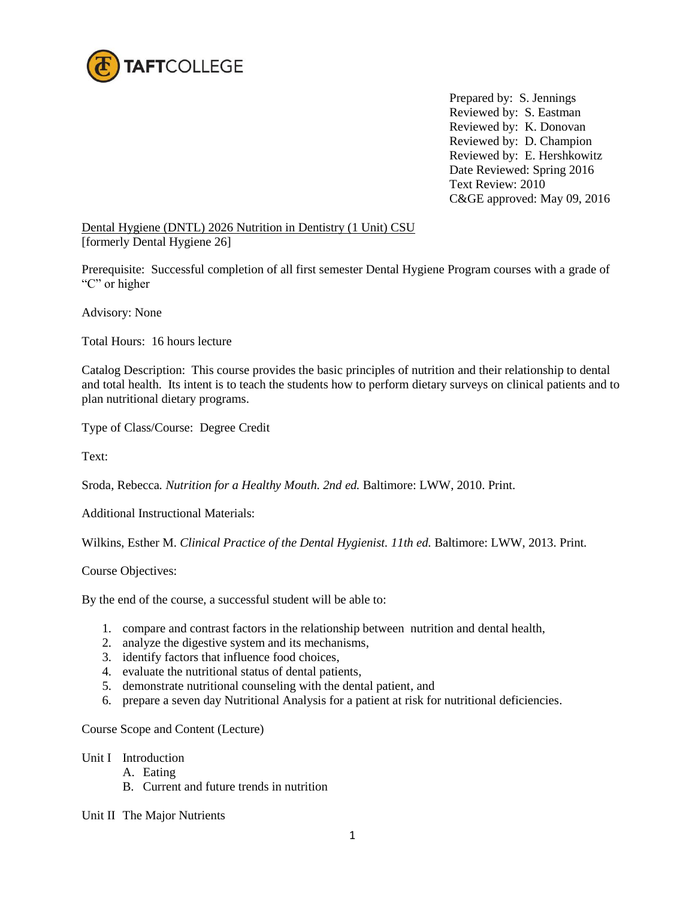

Prepared by: S. Jennings Reviewed by: S. Eastman Reviewed by: K. Donovan Reviewed by: D. Champion Reviewed by: E. Hershkowitz Date Reviewed: Spring 2016 Text Review: 2010 C&GE approved: May 09, 2016

Dental Hygiene (DNTL) 2026 Nutrition in Dentistry (1 Unit) CSU [formerly Dental Hygiene 26]

Prerequisite: Successful completion of all first semester Dental Hygiene Program courses with a grade of "C" or higher

Advisory: None

Total Hours: 16 hours lecture

Catalog Description: This course provides the basic principles of nutrition and their relationship to dental and total health. Its intent is to teach the students how to perform dietary surveys on clinical patients and to plan nutritional dietary programs.

Type of Class/Course: Degree Credit

Text:

Sroda, Rebecca*. Nutrition for a Healthy Mouth. 2nd ed.* Baltimore: LWW, 2010. Print.

Additional Instructional Materials:

Wilkins, Esther M. *Clinical Practice of the Dental Hygienist. 11th ed.* Baltimore: LWW, 2013. Print*.*

Course Objectives:

By the end of the course, a successful student will be able to:

- 1. compare and contrast factors in the relationship between nutrition and dental health,
- 2. analyze the digestive system and its mechanisms,
- 3. identify factors that influence food choices,
- 4. evaluate the nutritional status of dental patients,
- 5. demonstrate nutritional counseling with the dental patient, and
- 6. prepare a seven day Nutritional Analysis for a patient at risk for nutritional deficiencies.

Course Scope and Content (Lecture)

#### Unit I Introduction

- A. Eating
- B. Current and future trends in nutrition

Unit II The Major Nutrients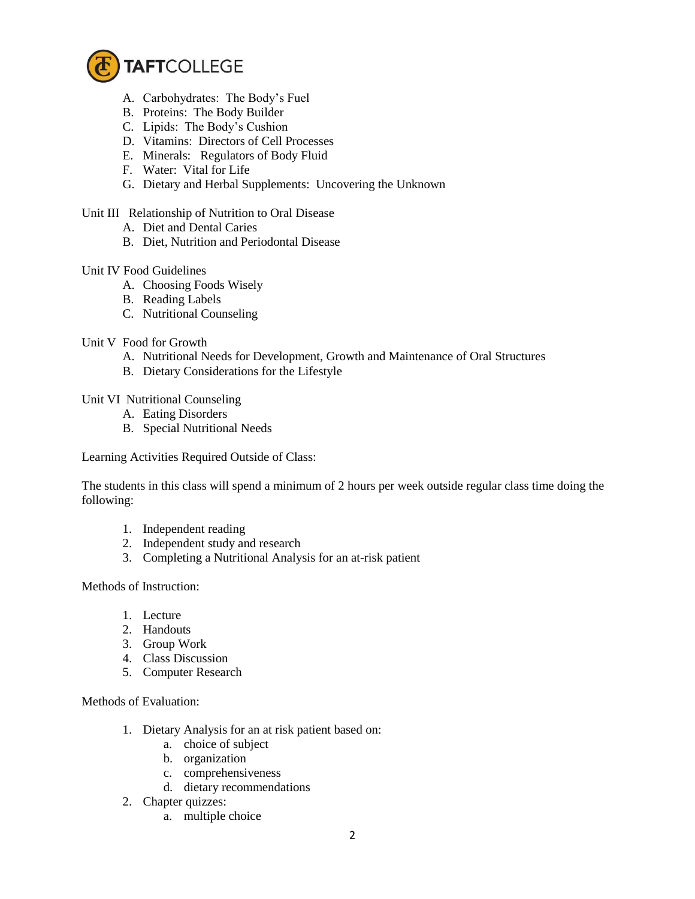

- A. Carbohydrates: The Body's Fuel
- B. Proteins: The Body Builder
- C. Lipids: The Body's Cushion
- D. Vitamins: Directors of Cell Processes
- E. Minerals: Regulators of Body Fluid
- F. Water: Vital for Life
- G. Dietary and Herbal Supplements: Uncovering the Unknown

## Unit III Relationship of Nutrition to Oral Disease

- A. Diet and Dental Caries
- B. Diet, Nutrition and Periodontal Disease

### Unit IV Food Guidelines

- A. Choosing Foods Wisely
- B. Reading Labels
- C. Nutritional Counseling

### Unit V Food for Growth

- A. Nutritional Needs for Development, Growth and Maintenance of Oral Structures
- B. Dietary Considerations for the Lifestyle

Unit VI Nutritional Counseling

- A. Eating Disorders
- B. Special Nutritional Needs

Learning Activities Required Outside of Class:

The students in this class will spend a minimum of 2 hours per week outside regular class time doing the following:

- 1. Independent reading
- 2. Independent study and research
- 3. Completing a Nutritional Analysis for an at-risk patient

# Methods of Instruction:

- 1. Lecture
- 2. Handouts
- 3. Group Work
- 4. Class Discussion
- 5. Computer Research

#### Methods of Evaluation:

- 1. Dietary Analysis for an at risk patient based on:
	- a. choice of subject
	- b. organization
	- c. comprehensiveness
	- d. dietary recommendations
- 2. Chapter quizzes:
	- a. multiple choice